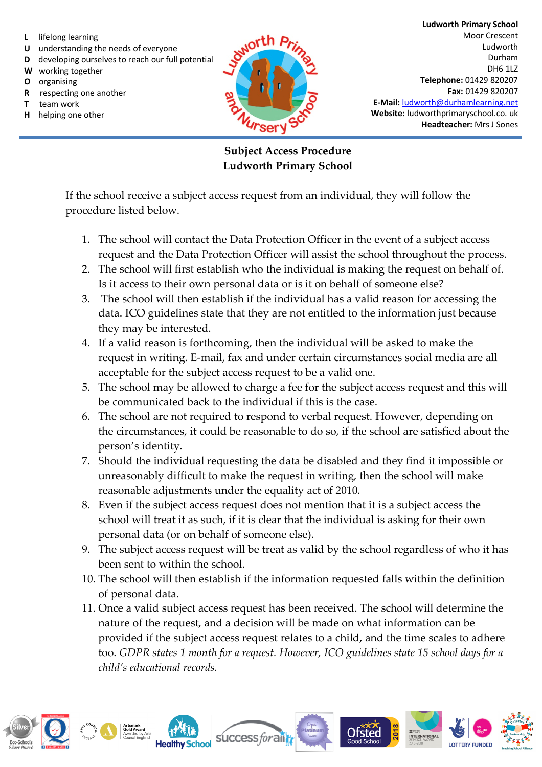- **L** lifelong learning
- **U** understanding the needs of everyone
- **D** developing ourselves to reach our full potential
- **W** working together
- **O** organising
- **R** respecting one another
- **T** team work
- **H** helping one other



**Ludworth Primary School** Moor Crescent Ludworth Durham DH6 1LZ **Telephone:** 01429 820207 **Fax:** 01429 820207 **E-Mail:** ludworth@durhamlearning.net **Website:** ludworthprimaryschool.co. uk **Headteacher:** Mrs J Sones

## **Subject Access Procedure Ludworth Primary School**

If the school receive a subject access request from an individual, they will follow the procedure listed below.

- 1. The school will contact the Data Protection Officer in the event of a subject access request and the Data Protection Officer will assist the school throughout the process.
- 2. The school will first establish who the individual is making the request on behalf of. Is it access to their own personal data or is it on behalf of someone else?
- 3. The school will then establish if the individual has a valid reason for accessing the data. ICO guidelines state that they are not entitled to the information just because they may be interested.
- 4. If a valid reason is forthcoming, then the individual will be asked to make the request in writing. E-mail, fax and under certain circumstances social media are all acceptable for the subject access request to be a valid one.
- 5. The school may be allowed to charge a fee for the subject access request and this will be communicated back to the individual if this is the case.
- 6. The school are not required to respond to verbal request. However, depending on the circumstances, it could be reasonable to do so, if the school are satisfied about the person's identity.
- 7. Should the individual requesting the data be disabled and they find it impossible or unreasonably difficult to make the request in writing, then the school will make reasonable adjustments under the equality act of 2010.
- 8. Even if the subject access request does not mention that it is a subject access the school will treat it as such, if it is clear that the individual is asking for their own personal data (or on behalf of someone else).
- 9. The subject access request will be treat as valid by the school regardless of who it has been sent to within the school.
- 10. The school will then establish if the information requested falls within the definition of personal data.
- 11. Once a valid subject access request has been received. The school will determine the nature of the request, and a decision will be made on what information can be provided if the subject access request relates to a child, and the time scales to adhere too. *GDPR states 1 month for a request. However, ICO guidelines state 15 school days for a child's educational records.*

success for an

Ofsted